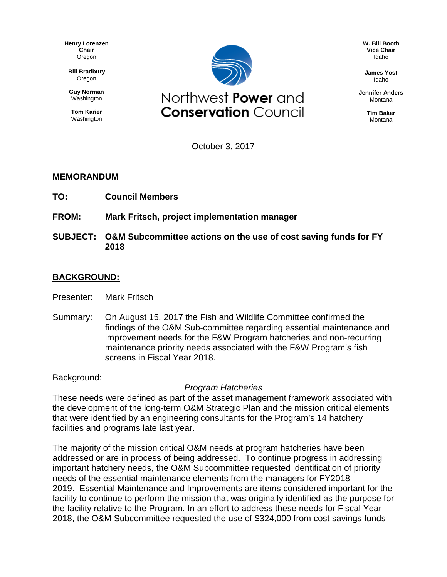**Henry Lorenzen Chair** Oregon

**Bill Bradbury** Oregon

**Guy Norman** Washington

**Tom Karier** Washington



**W. Bill Booth Vice Chair** Idaho

**James Yost** Idaho

**Jennifer Anders** Montana

> **Tim Baker** Montana

October 3, 2017

## **MEMORANDUM**

- **TO: Council Members**
- **FROM: Mark Fritsch, project implementation manager**
- **SUBJECT: O&M Subcommittee actions on the use of cost saving funds for FY 2018**

## **BACKGROUND:**

- Presenter: Mark Fritsch
- Summary: On August 15, 2017 the Fish and Wildlife Committee confirmed the findings of the O&M Sub-committee regarding essential maintenance and improvement needs for the F&W Program hatcheries and non-recurring maintenance priority needs associated with the F&W Program's fish screens in Fiscal Year 2018.

Background:

## *Program Hatcheries*

These needs were defined as part of the asset management framework associated with the development of the long-term O&M Strategic Plan and the mission critical elements that were identified by an engineering consultants for the Program's 14 hatchery facilities and programs late last year.

The majority of the mission critical O&M needs at program hatcheries have been addressed or are in process of being addressed. To continue progress in addressing important hatchery needs, the O&M Subcommittee requested identification of priority needs of the essential maintenance elements from the managers for FY2018 - 2019. Essential Maintenance and Improvements are items considered important for the facility to continue to perform the mission that was originally identified as the purpose for the facility relative to the Program. In an effort to address these needs for Fiscal Year 2018, the O&M Subcommittee requested the use of \$324,000 from cost savings funds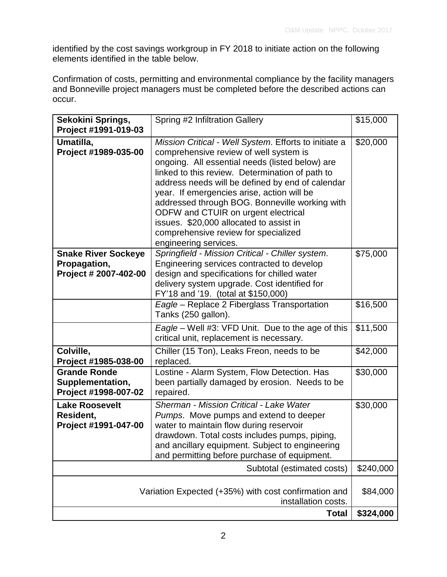identified by the cost savings workgroup in FY 2018 to initiate action on the following elements identified in the table below.

Confirmation of costs, permitting and environmental compliance by the facility managers and Bonneville project managers must be completed before the described actions can occur.

| Sekokini Springs,<br>Project #1991-019-03                                                   | Spring #2 Infiltration Gallery                                                                                                                                                                                                                                                                                                                                                                                                                                                                               | \$15,000  |
|---------------------------------------------------------------------------------------------|--------------------------------------------------------------------------------------------------------------------------------------------------------------------------------------------------------------------------------------------------------------------------------------------------------------------------------------------------------------------------------------------------------------------------------------------------------------------------------------------------------------|-----------|
| Umatilla,<br>Project #1989-035-00                                                           | Mission Critical - Well System. Efforts to initiate a<br>comprehensive review of well system is<br>ongoing. All essential needs (listed below) are<br>linked to this review. Determination of path to<br>address needs will be defined by end of calendar<br>year. If emergencies arise, action will be<br>addressed through BOG. Bonneville working with<br>ODFW and CTUIR on urgent electrical<br>issues. \$20,000 allocated to assist in<br>comprehensive review for specialized<br>engineering services. | \$20,000  |
| <b>Snake River Sockeye</b><br>Propagation,<br>Project # 2007-402-00                         | Springfield - Mission Critical - Chiller system.<br>Engineering services contracted to develop<br>design and specifications for chilled water<br>delivery system upgrade. Cost identified for<br>FY'18 and '19. (total at \$150,000)                                                                                                                                                                                                                                                                         | \$75,000  |
|                                                                                             | Eagle - Replace 2 Fiberglass Transportation<br>Tanks (250 gallon).                                                                                                                                                                                                                                                                                                                                                                                                                                           | \$16,500  |
|                                                                                             | Eagle – Well #3: VFD Unit. Due to the age of this<br>critical unit, replacement is necessary.                                                                                                                                                                                                                                                                                                                                                                                                                | \$11,500  |
| Colville,<br>Project #1985-038-00                                                           | Chiller (15 Ton), Leaks Freon, needs to be<br>replaced.                                                                                                                                                                                                                                                                                                                                                                                                                                                      | \$42,000  |
| <b>Grande Ronde</b><br>Supplementation,<br>Project #1998-007-02                             | Lostine - Alarm System, Flow Detection. Has<br>been partially damaged by erosion. Needs to be<br>repaired.                                                                                                                                                                                                                                                                                                                                                                                                   | \$30,000  |
| <b>Lake Roosevelt</b><br>Resident,<br>Project #1991-047-00                                  | Sherman - Mission Critical - Lake Water<br>Pumps. Move pumps and extend to deeper<br>water to maintain flow during reservoir<br>drawdown. Total costs includes pumps, piping,<br>and ancillary equipment. Subject to engineering<br>and permitting before purchase of equipment.                                                                                                                                                                                                                             | \$30,000  |
| Subtotal (estimated costs)                                                                  |                                                                                                                                                                                                                                                                                                                                                                                                                                                                                                              | \$240,000 |
| Variation Expected (+35%) with cost confirmation and<br>installation costs.<br><b>Total</b> |                                                                                                                                                                                                                                                                                                                                                                                                                                                                                                              | \$84,000  |
|                                                                                             |                                                                                                                                                                                                                                                                                                                                                                                                                                                                                                              | \$324,000 |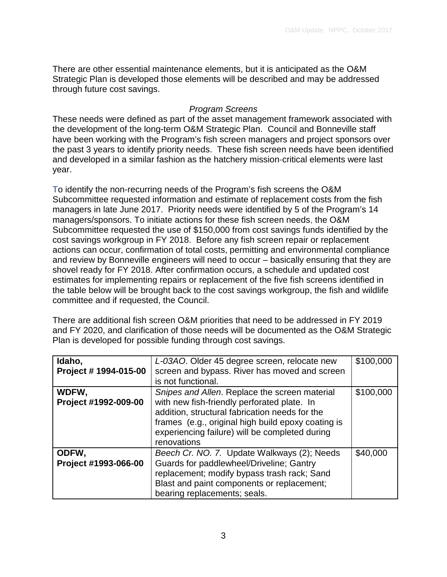There are other essential maintenance elements, but it is anticipated as the O&M Strategic Plan is developed those elements will be described and may be addressed through future cost savings.

## *Program Screens*

These needs were defined as part of the asset management framework associated with the development of the long-term O&M Strategic Plan. Council and Bonneville staff have been working with the Program's fish screen managers and project sponsors over the past 3 years to identify priority needs. These fish screen needs have been identified and developed in a similar fashion as the hatchery mission-critical elements were last year.

To identify the non-recurring needs of the Program's fish screens the O&M Subcommittee requested information and estimate of replacement costs from the fish managers in late June 2017. Priority needs were identified by 5 of the Program's 14 managers/sponsors. To initiate actions for these fish screen needs, the O&M Subcommittee requested the use of \$150,000 from cost savings funds identified by the cost savings workgroup in FY 2018. Before any fish screen repair or replacement actions can occur, confirmation of total costs, permitting and environmental compliance and review by Bonneville engineers will need to occur – basically ensuring that they are shovel ready for FY 2018. After confirmation occurs, a schedule and updated cost estimates for implementing repairs or replacement of the five fish screens identified in the table below will be brought back to the cost savings workgroup, the fish and wildlife committee and if requested, the Council.

There are additional fish screen O&M priorities that need to be addressed in FY 2019 and FY 2020, and clarification of those needs will be documented as the O&M Strategic Plan is developed for possible funding through cost savings.

| Idaho,<br>Project # 1994-015-00 | L-03AO. Older 45 degree screen, relocate new<br>screen and bypass. River has moved and screen<br>is not functional.                                                                                                                                                   | \$100,000 |
|---------------------------------|-----------------------------------------------------------------------------------------------------------------------------------------------------------------------------------------------------------------------------------------------------------------------|-----------|
| WDFW,<br>Project #1992-009-00   | Snipes and Allen. Replace the screen material<br>with new fish-friendly perforated plate. In<br>addition, structural fabrication needs for the<br>frames (e.g., original high build epoxy coating is<br>experiencing failure) will be completed during<br>renovations | \$100,000 |
| ODFW,<br>Project #1993-066-00   | Beech Cr. NO. 7. Update Walkways (2); Needs<br>Guards for paddlewheel/Driveline; Gantry<br>replacement; modify bypass trash rack; Sand<br>Blast and paint components or replacement;<br>bearing replacements; seals.                                                  | \$40,000  |